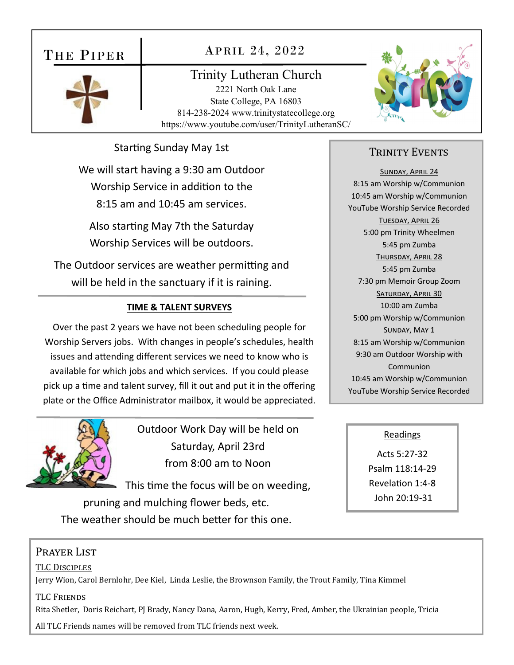### THE PIPER



APRIL 24, 2022

Trinity Lutheran Church 2221 North Oak Lane State College, PA 16803 814-238-2024 www.trinitystatecollege.org https://www.youtube.com/user/TrinityLutheranSC/

Starting Sunday May 1st

We will start having a 9:30 am Outdoor Worship Service in addition to the 8:15 am and 10:45 am services.

Also starting May 7th the Saturday Worship Services will be outdoors.

The Outdoor services are weather permitting and will be held in the sanctuary if it is raining.

#### **TIME & TALENT SURVEYS**

Over the past 2 years we have not been scheduling people for Worship Servers jobs. With changes in people's schedules, health issues and attending different services we need to know who is available for which jobs and which services. If you could please pick up a time and talent survey, fill it out and put it in the offering plate or the Office Administrator mailbox, it would be appreciated.



Outdoor Work Day will be held on Saturday, April 23rd from 8:00 am to Noon

This time the focus will be on weeding, pruning and mulching flower beds, etc.

The weather should be much better for this one.

#### TRINITY EVENTS

SUNDAY, APRIL 24 8:15 am Worship w/Communion 10:45 am Worship w/Communion YouTube Worship Service Recorded TUESDAY, APRIL 26 5:00 pm Trinity Wheelmen 5:45 pm Zumba THURSDAY, APRIL 28 5:45 pm Zumba 7:30 pm Memoir Group Zoom SATURDAY, APRIL 30 10:00 am Zumba 5:00 pm Worship w/Communion SUNDAY, MAY 1 8:15 am Worship w/Communion 9:30 am Outdoor Worship with Communion 10:45 am Worship w/Communion YouTube Worship Service Recorded

#### Readings

Acts 5:27‐32 Psalm 118:14‐29 Revelation 1:4-8 John 20:19‐31

#### Prayer List

#### TLC DISCIPLES

Jerry Wion, Carol Bernlohr, Dee Kiel, Linda Leslie, the Brownson Family, the Trout Family, Tina Kimmel

#### TLC FRIENDS

Rita Shetler, Doris Reichart, PJ Brady, Nancy Dana, Aaron, Hugh, Kerry, Fred, Amber, the Ukrainian people, Tricia

All TLC Friends names will be removed from TLC friends next week.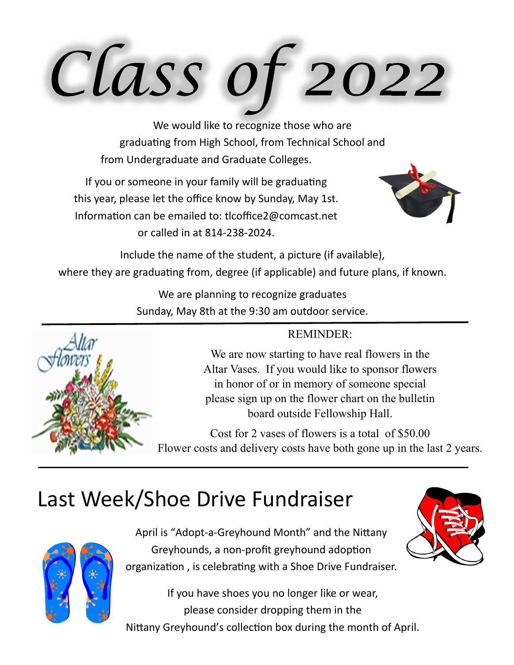# *Class of 2022*

We would like to recognize those who are graduating from High School, from Technical School and from Undergraduate and Graduate Colleges.

If you or someone in your family will be graduating this year, please let the office know by Sunday, May 1st. Information can be emailed to: tlcoffice2@comcast.net or called in at 814‐238‐2024.



Include the name of the student, a picture (if available), where they are graduating from, degree (if applicable) and future plans, if known.

> We are planning to recognize graduates Sunday, May 8th at the 9:30 am outdoor service.



We are now starting to have real flowers in the Altar Vases. If you would like to sponsor flowers in honor of or in memory of someone special please sign up on the flower chart on the bulletin board outside Fellowship Hall.

Cost for 2 vases of flowers is a total of \$50.00 Flower costs and delivery costs have both gone up in the last 2 years.

## Last Week/Shoe Drive Fundraiser



April is "Adopt-a-Greyhound Month" and the Nittany Greyhounds, a non-profit greyhound adoption organization, is celebrating with a Shoe Drive Fundraiser.



If you have shoes you no longer like or wear, please consider dropping them in the Nittany Greyhound's collection box during the month of April.